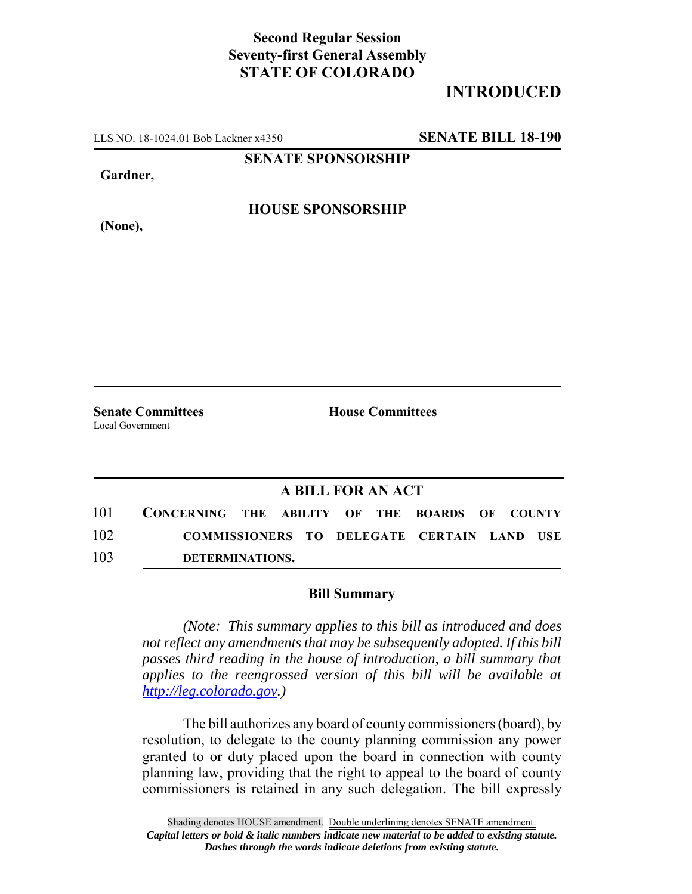## **Second Regular Session Seventy-first General Assembly STATE OF COLORADO**

## **INTRODUCED**

LLS NO. 18-1024.01 Bob Lackner x4350 **SENATE BILL 18-190**

**SENATE SPONSORSHIP**

**Gardner,**

**(None),**

**HOUSE SPONSORSHIP**

**Senate Committees House Committees** Local Government

## **A BILL FOR AN ACT**

101 **CONCERNING THE ABILITY OF THE BOARDS OF COUNTY** 102 **COMMISSIONERS TO DELEGATE CERTAIN LAND USE** 103 **DETERMINATIONS.**

## **Bill Summary**

*(Note: This summary applies to this bill as introduced and does not reflect any amendments that may be subsequently adopted. If this bill passes third reading in the house of introduction, a bill summary that applies to the reengrossed version of this bill will be available at http://leg.colorado.gov.)*

The bill authorizes any board of county commissioners (board), by resolution, to delegate to the county planning commission any power granted to or duty placed upon the board in connection with county planning law, providing that the right to appeal to the board of county commissioners is retained in any such delegation. The bill expressly